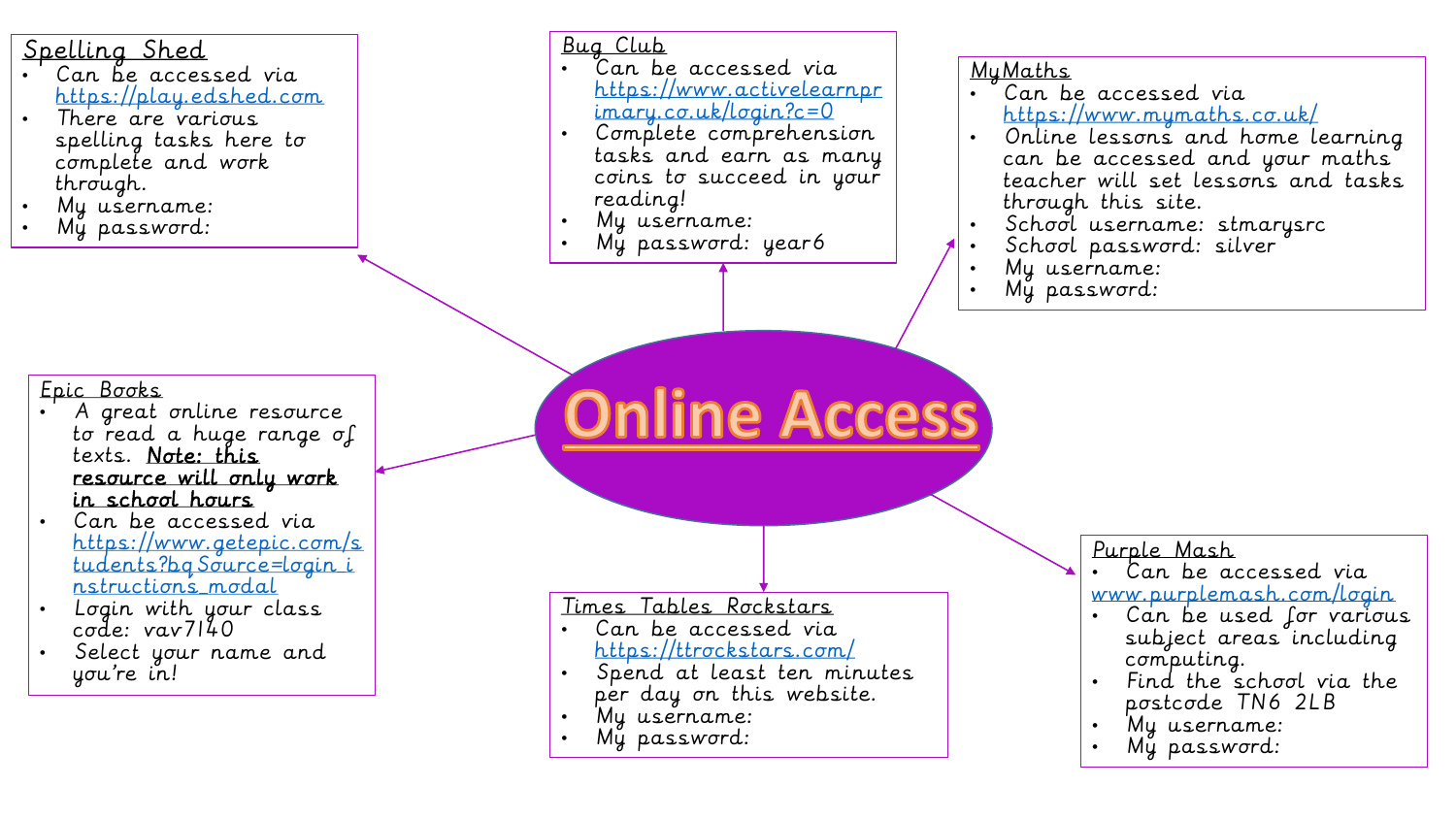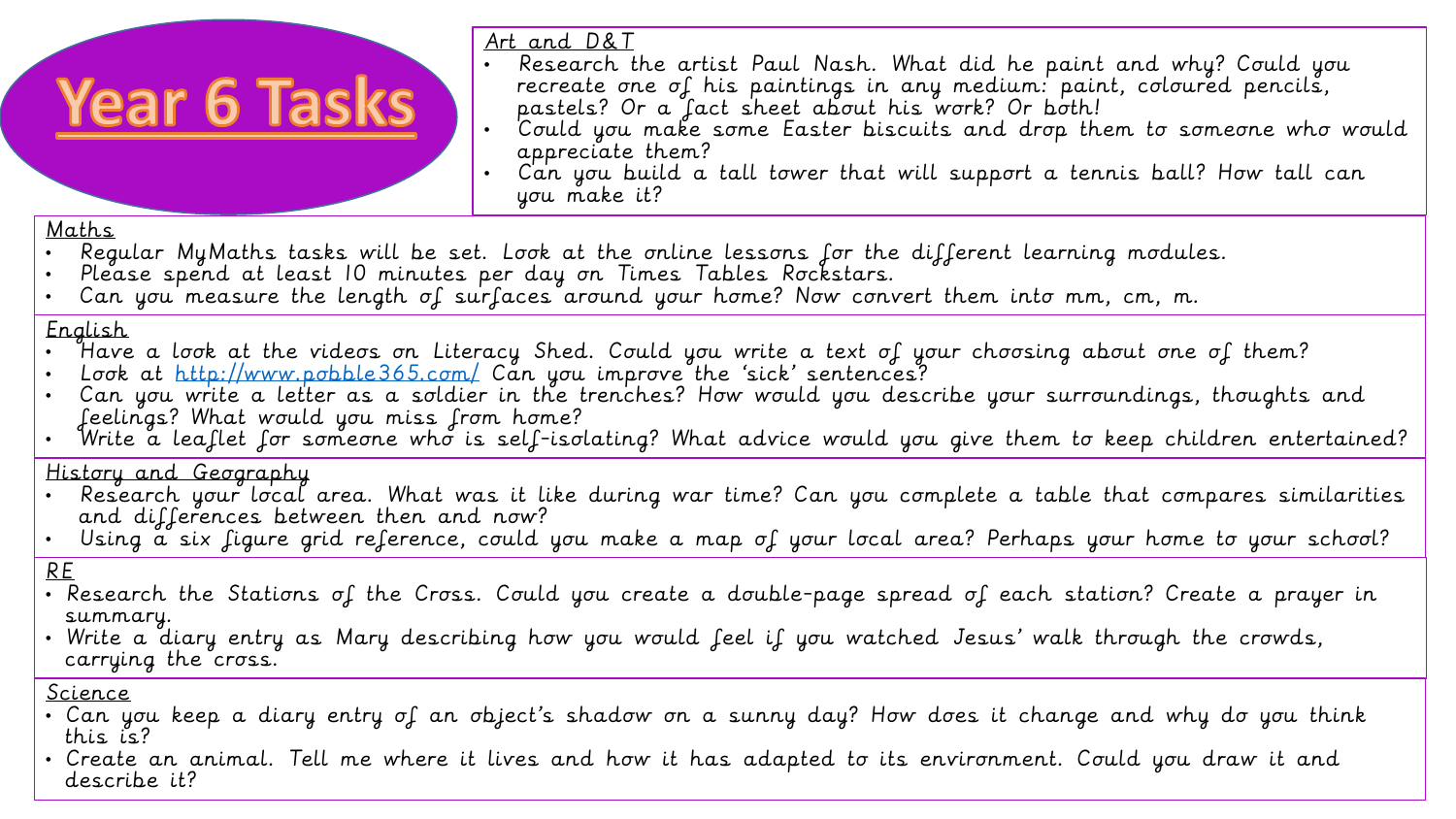# **Year 6 Tasks**

Art and D&T

- Research the artist Paul Nash. What did he paint and why? Could you recreate one of his paintings in any medium: paint, coloured pencils, pastels? Or a fact sheet about his work? Or both!
- Could you make some Easter biscuits and drop them to someone who would appreciate them?
- Can you build a tall tower that will support a tennis ball? How tall can you make it?

#### Maths

- Regular MyMaths tasks will be set. Look at the online lessons for the different learning modules.
- Please spend at least 10 minutes per day on Times Tables Rockstars.
- Can you measure the length of surfaces around your home? Now convert them into mm, cm, m.

#### English

- Have a look at the videos on Literacy Shed. Could you write a text of your choosing about one of them?
- Look at<http://www.pobble365.com/> Can you improve the 'sick' sentences?
- Can you write a letter as a soldier in the trenches? How would you describe your surroundings, thoughts and feelings? What would you miss from home?
- Write a leaflet for someone who is self-isolating? What advice would you give them to keep children entertained?

## History and Geography

- Research your local area. What was it like during war time? Can you complete a table that compares similarities and differences between then and now?
- Using a six figure grid reference, could you make a map of your local area? Perhaps your home to your school?

## RE

- Research the Stations of the Cross. Could you create a double-page spread of each station? Create a prayer in summary.
- Write a diary entry as Mary describing how you would feel if you watched Jesus' walk through the crowds, carrying the cross.

#### Science

- Can you keep a diary entry of an object's shadow on a sunny day? How does it change and why do you think this is?
- Create an animal. Tell me where it lives and how it has adapted to its environment. Could you draw it and describe it?